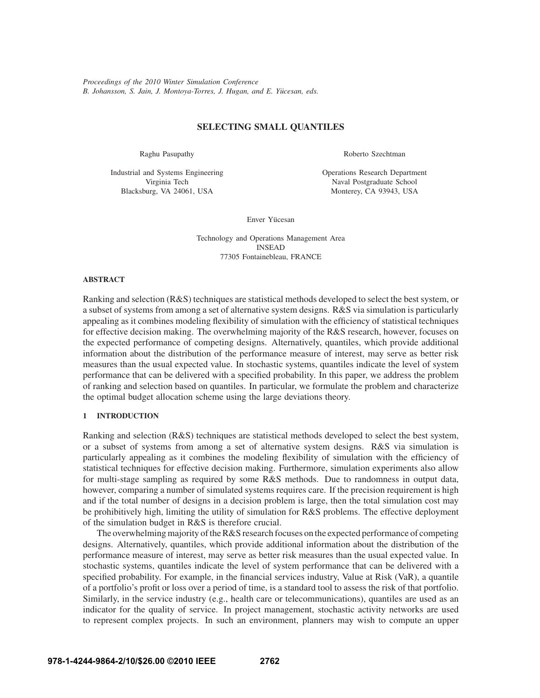*Proceedings of the 2010 Winter Simulation Conference B. Johansson, S. Jain, J. Montoya-Torres, J. Hugan, and E. Yucesan, eds. ¨*

# **SELECTING SMALL QUANTILES**

Raghu Pasupathy

Industrial and Systems Engineering Virginia Tech Blacksburg, VA 24061, USA

Roberto Szechtman

Operations Research Department Naval Postgraduate School Monterey, CA 93943, USA

Enver Yücesan

Technology and Operations Management Area INSEAD 77305 Fontainebleau, FRANCE

## **ABSTRACT**

Ranking and selection (R&S) techniques are statistical methods developed to select the best system, or a subset of systems from among a set of alternative system designs. R&S via simulation is particularly appealing as it combines modeling flexibility of simulation with the efficiency of statistical techniques for effective decision making. The overwhelming majority of the R&S research, however, focuses on the expected performance of competing designs. Alternatively, quantiles, which provide additional information about the distribution of the performance measure of interest, may serve as better risk measures than the usual expected value. In stochastic systems, quantiles indicate the level of system performance that can be delivered with a specified probability. In this paper, we address the problem of ranking and selection based on quantiles. In particular, we formulate the problem and characterize the optimal budget allocation scheme using the large deviations theory.

## **1 INTRODUCTION**

Ranking and selection (R&S) techniques are statistical methods developed to select the best system, or a subset of systems from among a set of alternative system designs. R&S via simulation is particularly appealing as it combines the modeling flexibility of simulation with the efficiency of statistical techniques for effective decision making. Furthermore, simulation experiments also allow for multi-stage sampling as required by some R&S methods. Due to randomness in output data, however, comparing a number of simulated systems requires care. If the precision requirement is high and if the total number of designs in a decision problem is large, then the total simulation cost may be prohibitively high, limiting the utility of simulation for R&S problems. The effective deployment of the simulation budget in R&S is therefore crucial.

The overwhelming majority of the R&S research focuses on the expected performance of competing designs. Alternatively, quantiles, which provide additional information about the distribution of the performance measure of interest, may serve as better risk measures than the usual expected value. In stochastic systems, quantiles indicate the level of system performance that can be delivered with a specified probability. For example, in the financial services industry, Value at Risk (VaR), a quantile of a portfolio's profit or loss over a period of time, is a standard tool to assess the risk of that portfolio. Similarly, in the service industry (e.g., health care or telecommunications), quantiles are used as an indicator for the quality of service. In project management, stochastic activity networks are used to represent complex projects. In such an environment, planners may wish to compute an upper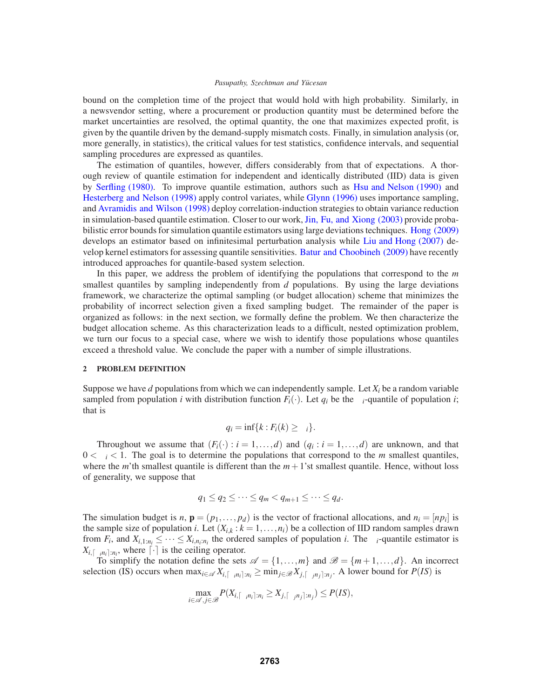bound on the completion time of the project that would hold with high probability. Similarly, in a newsvendor setting, where a procurement or production quantity must be determined before the market uncertainties are resolved, the optimal quantity, the one that maximizes expected profit, is given by the quantile driven by the demand-supply mismatch costs. Finally, in simulation analysis (or, more generally, in statistics), the critical values for test statistics, confidence intervals, and sequential sampling procedures are expressed as quantiles.

The estimation of quantiles, however, differs considerably from that of expectations. A thorough review of quantile estimation for independent and identically distributed (IID) data is given by Serfling (1980). To improve quantile estimation, authors such as Hsu and Nelson (1990) and Hesterberg and Nelson (1998) apply control variates, while Glynn (1996) uses importance sampling, and Avramidis and Wilson (1998) deploy correlation-induction strategies to obtain variance reduction in simulation-based quantile estimation. Closer to our work, Jin, Fu, and Xiong (2003) provide probabilistic error bounds for simulation quantile estimators using large deviations techniques. Hong (2009) develops an estimator based on infinitesimal perturbation analysis while Liu and Hong (2007) develop kernel estimators for assessing quantile sensitivities. Batur and Choobineh (2009) have recently introduced approaches for quantile-based system selection.

In this paper, we address the problem of identifying the populations that correspond to the *m* smallest quantiles by sampling independently from *d* populations. By using the large deviations framework, we characterize the optimal sampling (or budget allocation) scheme that minimizes the probability of incorrect selection given a fixed sampling budget. The remainder of the paper is organized as follows: in the next section, we formally define the problem. We then characterize the budget allocation scheme. As this characterization leads to a difficult, nested optimization problem, we turn our focus to a special case, where we wish to identify those populations whose quantiles exceed a threshold value. We conclude the paper with a number of simple illustrations.

## **2 PROBLEM DEFINITION**

Suppose we have *d* populations from which we can independently sample. Let  $X_i$  be a random variable sampled from population *i* with distribution function  $F_i(\cdot)$ . Let  $q_i$  be the  $\alpha_i$ -quantile of population *i*; that is

$$
q_i = \inf\{k : F_i(k) \ge \alpha_i\}.
$$

Throughout we assume that  $(F_i(\cdot): i = 1, \ldots, d)$  and  $(q_i : i = 1, \ldots, d)$  are unknown, and that  $0 < \alpha_i < 1$ . The goal is to determine the populations that correspond to the *m* smallest quantiles, where the *m*'th smallest quantile is different than the  $m+1$ 'st smallest quantile. Hence, without loss of generality, we suppose that

$$
q_1 \leq q_2 \leq \cdots \leq q_m < q_{m+1} \leq \cdots \leq q_d.
$$

The simulation budget is *n*,  $\mathbf{p} = (p_1, \ldots, p_d)$  is the vector of fractional allocations, and  $n_i = [np_i]$  is the sample size of population *i*. Let  $(X_{i,k}: k = 1, \ldots, n_i)$  be a collection of IID random samples drawn from  $F_i$ , and  $X_{i,1:n_i} \leq \cdots \leq X_{i,n_i:n_i}$  the ordered samples of population *i*. The  $\alpha_i$ -quantile estimator is  $X_{i,\lceil \alpha_i n_i \rceil:n_i}$ , where  $\lceil \cdot \rceil$  is the ceiling operator.

To simplify the notation define the sets  $\mathscr{A} = \{1, ..., m\}$  and  $\mathscr{B} = \{m+1, ..., d\}$ . An incorrect selection (IS) occurs when  $\max_{i \in \mathcal{A}} X_{i, [\alpha_i n_i] : n_i} \ge \min_{j \in \mathcal{B}} X_{j, [\alpha_j n_j] : n_j}$ . A lower bound for  $P(IS)$  is

$$
\max_{i\in\mathscr{A},j\in\mathscr{B}} P(X_{i,\lceil \alpha_in_i\rceil:n_i}\geq X_{j,\lceil \alpha_jn_j\rceil:n_j})\leq P(IS),
$$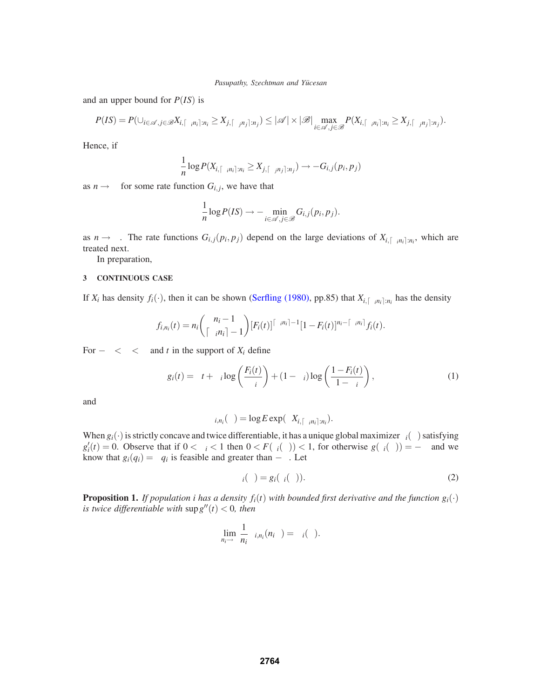and an upper bound for *P*(*IS*) is

$$
P(IS) = P(\cup_{i \in \mathscr{A}, j \in \mathscr{B}} X_{i, [\alpha_i n_i], n_i} \ge X_{j, [\alpha_j n_j], n_j}) \le |\mathscr{A}| \times |\mathscr{B}| \max_{i \in \mathscr{A}, j \in \mathscr{B}} P(X_{i, [\alpha_i n_i], n_i} \ge X_{j, [\alpha_j n_j], n_j}).
$$

Hence, if

$$
\frac{1}{n}\log P(X_{i,\lceil \alpha_i n_i \rceil:n_i} \geq X_{j,\lceil \alpha_j n_j \rceil:n_j}) \to -G_{i,j}(p_i,p_j)
$$

as  $n \rightarrow \infty$  for some rate function  $G_{i,j}$ , we have that

$$
\frac{1}{n}\log P(IS) \to -\min_{i \in \mathscr{A}, j \in \mathscr{B}} G_{i,j}(p_i, p_j).
$$

as  $n \to \infty$ . The rate functions  $G_{i,j}(p_i, p_j)$  depend on the large deviations of  $X_{i,[\alpha_i,n_i]:n_i}$ , which are treated next.

In preparation,

# **3 CONTINUOUS CASE**

If  $X_i$  has density  $f_i(\cdot)$ , then it can be shown (Serfling (1980), pp.85) that  $X_{i,\lceil \alpha_i n_i \rceil:n_i}$  has the density

$$
f_{i,n_i}(t) = n_i \binom{n_i-1}{\lceil \alpha_i n_i \rceil-1} [F_i(t)]^{\lceil \alpha_i n_i \rceil-1} [1 - F_i(t)]^{n_i - \lceil \alpha_i n_i \rceil} f_i(t).
$$

For  $-\infty < \theta < \infty$  and *t* in the support of  $X_i$  define

$$
g_i(t) = \theta t + \alpha_i \log \left( \frac{F_i(t)}{\alpha_i} \right) + (1 - \alpha_i) \log \left( \frac{1 - F_i(t)}{1 - \alpha_i} \right),\tag{1}
$$

and

$$
\Lambda_{i,n_i}(\theta) = \log E \exp(\theta X_{i,\lceil \alpha_i n_i \rceil:n_i}).
$$

When  $g_i(\cdot)$  is strictly concave and twice differentiable, it has a unique global maximizer  $\tau_i(\theta)$  satisfying  $g'_i(t) = 0$ . Observe that if  $0 < \alpha_i < 1$  then  $0 < F(\tau_i(\theta)) < 1$ , for otherwise  $g(\tau_i(\theta)) = -\infty$  and we know that  $g_i(q_i) = \theta q_i$  is feasible and greater than  $-\infty$ . Let

$$
\Lambda_i(\theta) = g_i(\tau_i(\theta)). \tag{2}
$$

**Proposition 1.** *If population i has a density*  $f_i(t)$  *with bounded first derivative and the function*  $g_i(\cdot)$ *is twice differentiable with*  $\sup g''(t) < 0$ *, then* 

$$
\lim_{n_i \to \infty} \frac{1}{n_i} \Lambda_{i,n_i}(n_i \theta) = \Lambda_i(\theta).
$$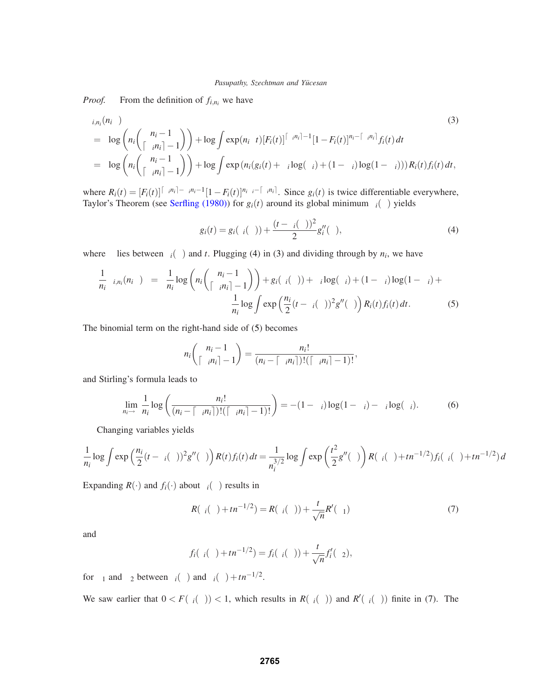*Proof.* From the definition of  $f_{i,n_i}$  we have

$$
\Lambda_{i,n_i}(n_i\theta) = \log \left(n_i \binom{n_i-1}{\lceil \alpha_i n_i \rceil-1} \right) + \log \int \exp(n_i\theta t) [F_i(t)]^{\lceil \alpha_i n_i \rceil-1} [1 - F_i(t)]^{n_i - \lceil \alpha_i n_i \rceil} f_i(t) dt
$$
\n
$$
= \log \left(n_i \binom{n_i-1}{\lceil \alpha_i n_i \rceil-1} \right) + \log \int \exp(n_i(g_i(t) + \alpha_i \log(\alpha_i) + (1 - \alpha_i) \log(1 - \alpha_i))) R_i(t) f_i(t) dt,
$$
\n(3)

where  $R_i(t) = [F_i(t)]^{\lceil \alpha_i n_i \rceil - \alpha_i n_i - 1} [1 - F_i(t)]^{n_i \alpha_i - \lceil \alpha_i n_i \rceil}$ . Since  $g_i(t)$  is twice differentiable everywhere, Taylor's Theorem (see Serfling (1980)) for  $g_i(t)$  around its global minimum  $\tau_i(\theta)$  yields

$$
g_i(t) = g_i(\tau_i(\theta)) + \frac{(t - \tau_i(\theta))^2}{2} g_i''(\xi),
$$
\n(4)

where  $\xi$  lies between  $\tau_i(\theta)$  and *t*. Plugging (4) in (3) and dividing through by  $n_i$ , we have

$$
\frac{1}{n_i} \Lambda_{i,n_i}(n_i \theta) = \frac{1}{n_i} \log \left( n_i \binom{n_i - 1}{\lceil \alpha_i n_i \rceil - 1} \right) + g_i(\tau_i(\theta)) + \alpha_i \log(\alpha_i) + (1 - \alpha_i) \log(1 - \alpha_i) + \frac{1}{n_i} \log \int \exp \left( \frac{n_i}{2} (t - \tau_i(\theta))^2 g''(\xi) \right) R_i(t) f_i(t) dt.
$$
\n(5)

The binomial term on the right-hand side of (5) becomes

$$
n_i\binom{n_i-1}{\lceil\alpha_i n_i\rceil-1}=\frac{n_i!}{(n_i-\lceil\alpha_i n_i\rceil)!(\lceil\alpha_i n_i\rceil-1)!},
$$

and Stirling's formula leads to

$$
\lim_{n_i \to \infty} \frac{1}{n_i} \log \left( \frac{n_i!}{(n_i - \lceil \alpha_i n_i \rceil)! (\lceil \alpha_i n_i \rceil - 1)!} \right) = -(1 - \alpha_i) \log(1 - \alpha_i) - \alpha_i \log(\alpha_i). \tag{6}
$$

Changing variables yields

$$
\frac{1}{n_i} \log \int \exp \left(\frac{n_i}{2} (t - \tau_i(\theta))^2 g''(\xi)\right) R(t) f_i(t) dt = \frac{1}{n_i^{3/2}} \log \int \exp \left(\frac{t^2}{2} g''(\xi)\right) R(\tau_i(\theta) + t n^{-1/2}) f_i(\tau_i(\theta) + t n^{-1/2}) dt
$$

Expanding  $R(\cdot)$  and  $f_i(\cdot)$  about  $\tau_i(\theta)$  results in

$$
R(\tau_i(\theta) + t n^{-1/2}) = R(\tau_i(\theta)) + \frac{t}{\sqrt{n}} R'(\eta_1)
$$
\n(7)

and

$$
f_i(\tau_i(\theta)+tn^{-1/2})=f_i(\tau_i(\theta))+\frac{t}{\sqrt{n}}f'_i(\eta_2),
$$

for  $\eta_1$  and  $\eta_2$  between  $\tau_i(\theta)$  and  $\tau_i(\theta)+tn^{-1/2}$ .

We saw earlier that  $0 < F(\tau_i(\theta)) < 1$ , which results in  $R(\tau_i(\theta))$  and  $R'(\tau_i(\theta))$  finite in (7). The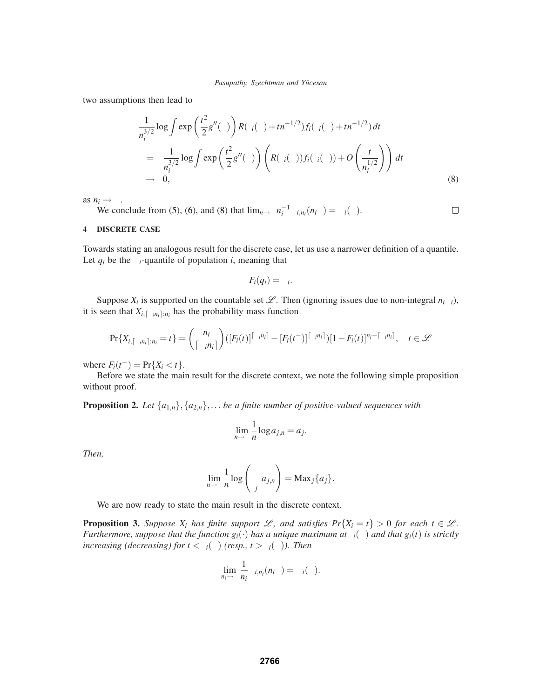two assumptions then lead to

$$
\frac{1}{n_i^{3/2}} \log \int \exp\left(\frac{t^2}{2}g''(\xi)\right) R(\tau_i(\theta) + tn^{-1/2}) f_i(\tau_i(\theta) + tn^{-1/2}) dt
$$
\n
$$
= \frac{1}{n_i^{3/2}} \log \int \exp\left(\frac{t^2}{2}g''(\xi)\right) \left( R(\tau_i(\theta)) f_i(\tau_i(\theta)) + O\left(\frac{t}{n_i^{1/2}}\right) \right) dt
$$
\n
$$
\to 0,
$$
\n(8)

as  $n_i \rightarrow \infty$ .

We conclude from (5), (6), and (8) that  $\lim_{n\to\infty} n_i^{-1} \Lambda_{i,n_i}(n_i \theta) = \Lambda_i(\theta)$ .  $\Box$ 

# **4 DISCRETE CASE**

Towards stating an analogous result for the discrete case, let us use a narrower definition of a quantile. Let  $q_i$  be the  $\alpha_i$ -quantile of population *i*, meaning that

$$
F_i(q_i)=\alpha_i.
$$

Suppose  $X_i$  is supported on the countable set  $\mathcal{L}$ . Then (ignoring issues due to non-integral  $n_i\alpha_i$ ), it is seen that  $X_{i,[\alpha,n_i]:n_i}$  has the probability mass function

$$
\Pr\{X_{i,\lceil\alpha_in_i\rceil:n_i}=t\}=\binom{n_i}{\lceil\alpha_in_i\rceil}(\lceil F_i(t)\rceil^{\lceil\alpha_in_i\rceil}-\lceil F_i(t^-)\rceil^{\lceil\alpha_in_i\rceil})[1-F_i(t)]^{n_i-\lceil\alpha_in_i\rceil}, \quad t\in\mathscr{L}
$$

where  $F_i(t^-) = Pr\{X_i < t\}.$ 

Before we state the main result for the discrete context, we note the following simple proposition without proof.

**Proposition 2.** Let  $\{a_{1,n}\}, \{a_{2,n}\}, \ldots$  be a finite number of positive-valued sequences with

$$
\lim_{n\to\infty}\frac{1}{n}\log a_{j,n}=a_j.
$$

*Then,*

$$
\lim_{n\to\infty}\frac{1}{n}\log\left(\sum_j a_{j,n}\right)=\text{Max}_j\{a_j\}.
$$

We are now ready to state the main result in the discrete context.

**Proposition 3.** *Suppose*  $X_i$  *has finite support*  $\mathcal{L}$ *, and satisfies*  $Pr{X_i = t} > 0$  *for each*  $t \in \mathcal{L}$ *. Furthermore, suppose that the function*  $g_i(\cdot)$  *has a unique maximum at*  $\tau_i(\theta)$  *and that*  $g_i(t)$  *is strictly increasing (decreasing) for*  $t < \tau_i(\theta)$  *(resp., t >*  $\tau_i(\theta)$ *). Then* 

$$
\lim_{n_i\to\infty}\frac{1}{n_i}\Lambda_{i,n_i}(n_i\theta)=\Lambda_i(\theta).
$$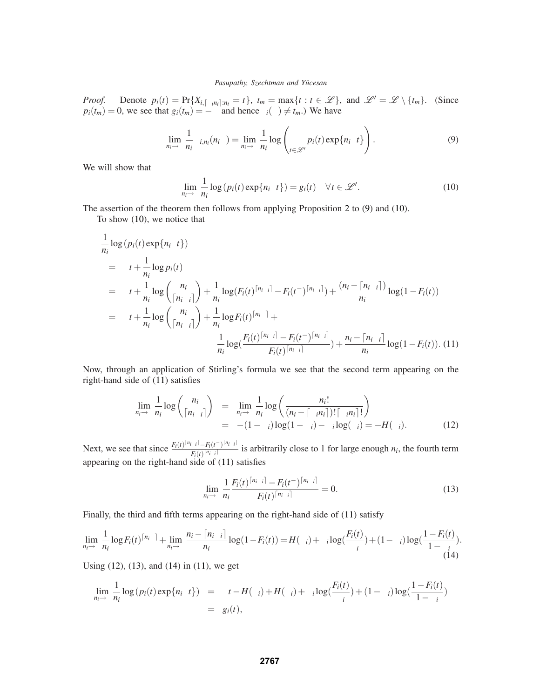*Proof.* Denote  $p_i(t) = \Pr{X_{i, [\alpha_i n_i]} : n_i = t}$ ,  $t_m = \max\{t : t \in \mathcal{L}\}\$ , and  $\mathcal{L}' = \mathcal{L} \setminus \{t_m\}$ . (Since  $p_i(t_m) = 0$ , we see that  $g_i(t_m) = -\infty$  and hence  $\tau_i(\theta) \neq t_m$ .) We have

$$
\lim_{n_i \to \infty} \frac{1}{n_i} \Lambda_{i,n_i}(n_i \theta) = \lim_{n_i \to \infty} \frac{1}{n_i} \log \left( \sum_{t \in \mathcal{L}'} p_i(t) \exp\{n_i \theta t\} \right).
$$
 (9)

We will show that

$$
\lim_{n_i \to \infty} \frac{1}{n_i} \log (p_i(t) \exp\{n_i \theta t\}) = g_i(t) \quad \forall t \in \mathcal{L}'.
$$
\n(10)

The assertion of the theorem then follows from applying Proposition 2 to (9) and (10).

To show (10), we notice that

$$
\frac{1}{n_i} \log (p_i(t) \exp\{n_i \theta t\})
$$
\n
$$
= \theta t + \frac{1}{n_i} \log p_i(t)
$$
\n
$$
= \theta t + \frac{1}{n_i} \log \left(\frac{n_i}{\lceil n_i \alpha_i \rceil}\right) + \frac{1}{n_i} \log(F_i(t)^{\lceil n_i \alpha_i \rceil} - F_i(t^{-})^{\lceil n_i \alpha_i \rceil}) + \frac{(n_i - \lceil n_i \alpha_i \rceil)}{n_i} \log(1 - F_i(t))
$$
\n
$$
= \theta t + \frac{1}{n_i} \log \left(\frac{n_i}{\lceil n_i \alpha_i \rceil}\right) + \frac{1}{n_i} \log F_i(t)^{\lceil n_i \alpha_i \rceil} + \frac{1}{n_i} \log \left(\frac{F_i(t)^{\lceil n_i \alpha_i \rceil} - F_i(t^{-})^{\lceil n_i \alpha_i \rceil}}{F_i(t)^{\lceil n_i \alpha_i \rceil}}\right) + \frac{n_i - \lceil n_i \alpha_i \rceil}{n_i} \log(1 - F_i(t)). \tag{11}
$$

Now, through an application of Stirling's formula we see that the second term appearing on the right-hand side of (11) satisfies

$$
\lim_{n_i \to \infty} \frac{1}{n_i} \log \binom{n_i}{\lceil n_i \alpha_i \rceil} = \lim_{n_i \to \infty} \frac{1}{n_i} \log \binom{n_i!}{\left(n_i - \lceil \alpha_i n_i \rceil\right)! \lceil \alpha_i n_i \rceil!} = -(1 - \alpha_i) \log(1 - \alpha_i) - \alpha_i \log(\alpha_i) = -H(\alpha_i). \tag{12}
$$

Next, we see that since  $\frac{F_i(t)^{\lceil n_i\alpha_i \rceil} - F_i(t^{-})^{\lceil n_i\alpha_i \rceil}}{F_i(t)^{\lceil n_i\alpha_i \rceil}}$  is arbitrarily close to 1 for large enough  $n_i$ , the fourth term appearing on the right-hand side of (11) satisfies

$$
\lim_{n_i \to \infty} \frac{1}{n_i} \frac{F_i(t)^{\lceil n_i \alpha_i \rceil} - F_i(t^{-})^{\lceil n_i \alpha_i \rceil}}{F_i(t)^{\lceil n_i \alpha_i \rceil}} = 0.
$$
\n(13)

Finally, the third and fifth terms appearing on the right-hand side of (11) satisfy

$$
\lim_{n_i \to \infty} \frac{1}{n_i} \log F_i(t)^{\lceil n_i \alpha \rceil} + \lim_{n_i \to \infty} \frac{n_i - \lceil n_i \alpha_i \rceil}{n_i} \log(1 - F_i(t)) = H(\alpha_i) + \alpha_i \log(\frac{F_i(t)}{\alpha_i}) + (1 - \alpha_i) \log(\frac{1 - F_i(t)}{1 - \alpha_i}).
$$
\n(14)

Using (12), (13), and (14) in (11), we get

$$
\lim_{n_i \to \infty} \frac{1}{n_i} \log (p_i(t) \exp\{n_i \theta t\}) = \theta t - H(\alpha_i) + H(\alpha_i) + \alpha_i \log(\frac{F_i(t)}{\alpha_i}) + (1 - \alpha_i) \log(\frac{1 - F_i(t)}{1 - \alpha_i})
$$
  
=  $g_i(t)$ ,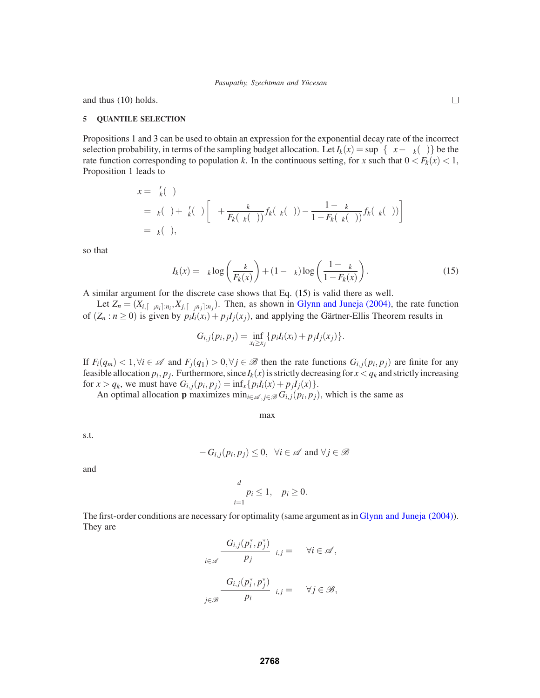and thus (10) holds.

#### **5 QUANTILE SELECTION**

Propositions 1 and 3 can be used to obtain an expression for the exponential decay rate of the incorrect selection probability, in terms of the sampling budget allocation. Let  $I_k(x) = \sup_{\theta} {\{\theta x - \Lambda_k(\theta)\}}$  be the rate function corresponding to population *k*. In the continuous setting, for *x* such that  $0 < F_k(x) < 1$ , Proposition 1 leads to

$$
x = \Lambda'_k(\theta)
$$
  
=  $\tau_k(\theta) + \tau'_k(\theta) \left[ \theta + \frac{\alpha_k}{F_k(\tau_k(\theta))} f_k(\tau_k(\theta)) - \frac{1 - \alpha_k}{1 - F_k(\tau_k(\theta))} f_k(\tau_k(\theta)) \right]$   
=  $\tau_k(\theta)$ ,

so that

$$
I_k(x) = \alpha_k \log \left( \frac{\alpha_k}{F_k(x)} \right) + (1 - \alpha_k) \log \left( \frac{1 - \alpha_k}{1 - F_k(x)} \right). \tag{15}
$$

A similar argument for the discrete case shows that Eq. (15) is valid there as well.

Let  $Z_n = (X_{i,\lceil \alpha_i n_i \rceil : n_i}, X_{j,\lceil \alpha_j n_j \rceil : n_j})$ . Then, as shown in Glynn and Juneja (2004), the rate function of  $(Z_n : n \ge 0)$  is given by  $p_iI_i(x_i) + p_jI_j(x_i)$ , and applying the Gärtner-Ellis Theorem results in

$$
G_{i,j}(p_i,p_j) = \inf_{x_i \ge x_j} \{ p_i I_i(x_i) + p_j I_j(x_j) \}.
$$

If  $F_i(q_m) < 1, \forall i \in \mathcal{A}$  and  $F_j(q_1) > 0, \forall j \in \mathcal{B}$  then the rate functions  $G_{i,j}(p_i, p_j)$  are finite for any feasible allocation  $p_i$ ,  $p_j$ . Furthermore, since  $I_k(x)$  is strictly decreasing for  $x < q_k$  and strictly increasing for  $x > q_k$ , we must have  $G_{i,j}(p_i, p_j) = \inf_x \{p_i I_i(x) + p_j I_j(x)\}.$ 

An optimal allocation **p** maximizes  $\min_{i \in \mathcal{A}, j \in \mathcal{B}} G_{i,j}(p_i, p_j)$ , which is the same as

maxζ

s.t.

$$
\zeta - G_{i,j}(p_i, p_j) \le 0, \ \forall i \in \mathscr{A} \text{ and } \forall j \in \mathscr{B}
$$

and

$$
\sum_{i=1}^d p_i \le 1, \quad p_i \ge 0.
$$

The first-order conditions are necessary for optimality (same argument as in Glynn and Juneja (2004)). They are

$$
\sum_{i \in \mathscr{A}} \frac{\partial G_{i,j}(p_i^*, p_j^*)}{\partial p_j} \lambda_{i,j} = \beta \quad \forall i \in \mathscr{A},
$$

$$
\sum_{j \in \mathscr{B}} \frac{\partial G_{i,j}(p_i^*, p_j^*)}{\partial p_i} \lambda_{i,j} = \beta \quad \forall j \in \mathscr{B},
$$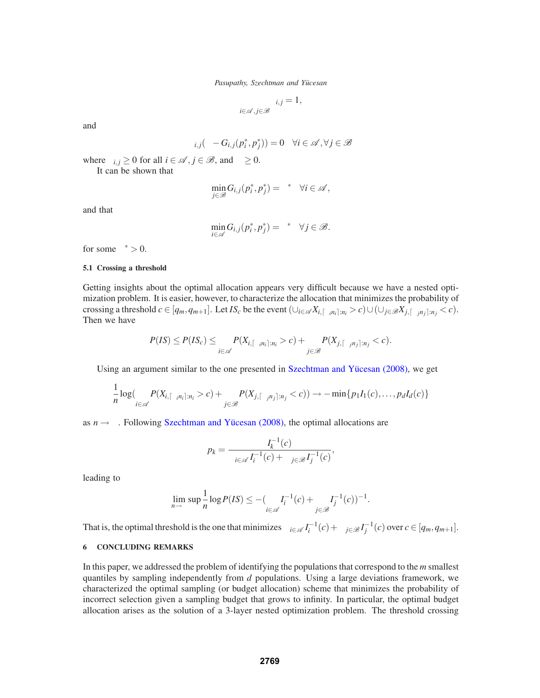$$
\sum_{i\in\mathscr{A},j\in\mathscr{B}}\lambda_{i,j}=1,
$$

and

$$
\lambda_{i,j}(\zeta - G_{i,j}(p_i^*, p_j^*)) = 0 \quad \forall i \in \mathscr{A}, \forall j \in \mathscr{B}
$$

where  $\lambda_{i,j} \geq 0$  for all  $i \in \mathcal{A}, j \in \mathcal{B}$ , and  $\beta \geq 0$ . It can be shown that

$$
\min_{j\in\mathscr{B}}G_{i,j}(p_i^*,p_j^*)=\zeta^*\quad\forall i\in\mathscr{A},
$$

and that

$$
\min_{i \in \mathscr{A}} G_{i,j}(p_i^*, p_j^*) = \zeta^* \quad \forall j \in \mathscr{B}.
$$

for some  $\zeta^* > 0$ .

### **5.1 Crossing a threshold**

Getting insights about the optimal allocation appears very difficult because we have a nested optimization problem. It is easier, however, to characterize the allocation that minimizes the probability of crossing a threshold  $c \in [q_m, q_{m+1}]$ . Let  $IS_c$  be the event  $(\bigcup_{i \in \mathcal{A}} X_{i, [\alpha_i n_i]:n_i} > c) \cup (\bigcup_{j \in \mathcal{B}} X_{j, [\alpha_i n_j]:n_j} < c)$ . Then we have

$$
P(IS) \leq P(IS_c) \leq \sum_{i \in \mathscr{A}} P(X_{i,\lceil \alpha_i n_i \rceil : n_i} > c) + \sum_{j \in \mathscr{B}} P(X_{j,\lceil \alpha_j n_j \rceil : n_j} < c).
$$

Using an argument similar to the one presented in Szechtman and Yücesan (2008), we get

$$
\frac{1}{n}\log\left(\sum_{i\in\mathscr{A}}P(X_{i,\lceil\alpha_in_i\rceil:n_i}>c)+\sum_{j\in\mathscr{B}}P(X_{j,\lceil\alpha_jn_j\rceil:n_j}
$$

as  $n \rightarrow \infty$ . Following Szechtman and Yücesan (2008), the optimal allocations are

$$
p_k = \frac{I_k^{-1}(c)}{\sum_{i \in \mathcal{A}} I_i^{-1}(c) + \sum_{j \in \mathcal{B}} I_j^{-1}(c)},
$$

leading to

$$
\lim_{n\to\infty}\sup\frac{1}{n}\log P(I\mathcal{S})\le-(\sum_{i\in\mathscr{A}}I_{i}^{-1}(c)+\sum_{j\in\mathscr{B}}I_{j}^{-1}(c))^{-1}.
$$

That is, the optimal threshold is the one that minimizes  $\sum_{i \in \mathcal{A}} I_i^{-1}(c) + \sum_{j \in \mathcal{B}} I_j^{-1}(c)$  over  $c \in [q_m, q_{m+1}]$ .

# **6 CONCLUDING REMARKS**

In this paper, we addressed the problem of identifying the populations that correspond to the *m* smallest quantiles by sampling independently from *d* populations. Using a large deviations framework, we characterized the optimal sampling (or budget allocation) scheme that minimizes the probability of incorrect selection given a sampling budget that grows to infinity. In particular, the optimal budget allocation arises as the solution of a 3-layer nested optimization problem. The threshold crossing